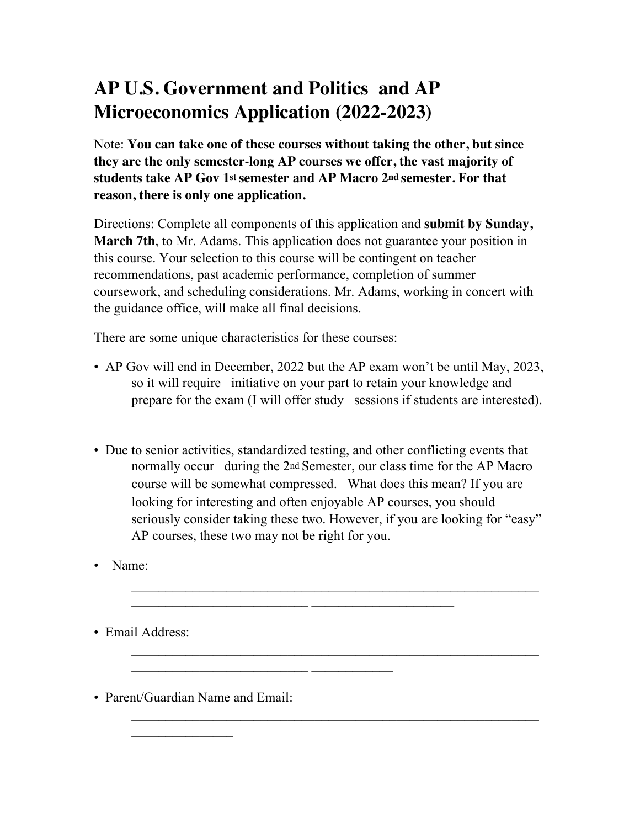## **AP U.S. Government and Politics and AP Microeconomics Application (2022-2023)**

Note: **You can take one of these courses without taking the other, but since they are the only semester-long AP courses we offer, the vast majority of students take AP Gov 1st semester and AP Macro 2nd semester. For that reason, there is only one application.** 

Directions: Complete all components of this application and **submit by Sunday, March 7th**, to Mr. Adams. This application does not guarantee your position in this course. Your selection to this course will be contingent on teacher recommendations, past academic performance, completion of summer coursework, and scheduling considerations. Mr. Adams, working in concert with the guidance office, will make all final decisions.

There are some unique characteristics for these courses:

- AP Gov will end in December, 2022 but the AP exam won't be until May, 2023, so it will require initiative on your part to retain your knowledge and prepare for the exam (I will offer study sessions if students are interested).
- Due to senior activities, standardized testing, and other conflicting events that normally occur during the 2nd Semester, our class time for the AP Macro course will be somewhat compressed. What does this mean? If you are looking for interesting and often enjoyable AP courses, you should seriously consider taking these two. However, if you are looking for "easy" AP courses, these two may not be right for you.

 $\mathcal{L}_\text{max}$  and the contract of the contract of the contract of the contract of the contract of the contract of

 $\mathcal{L}_\text{max}$  and the contract of the contract of the contract of the contract of the contract of the contract of

• Name:

• Email Address:

• Parent/Guardian Name and Email:

 $\mathcal{L}_\text{max}$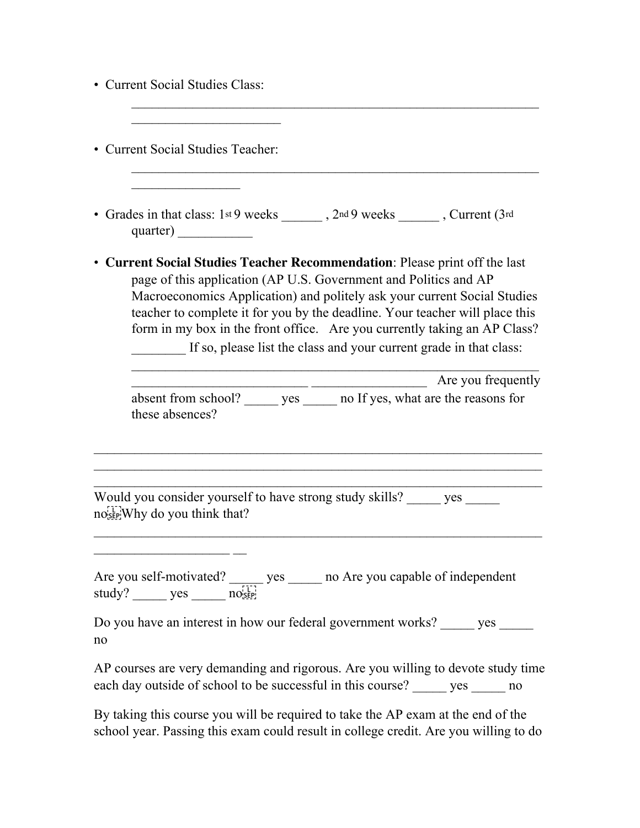| <b>Current Social Studies Class:</b>                                                                                                                                                                                                                                                                                                                                                                                                                          |
|---------------------------------------------------------------------------------------------------------------------------------------------------------------------------------------------------------------------------------------------------------------------------------------------------------------------------------------------------------------------------------------------------------------------------------------------------------------|
| • Current Social Studies Teacher:                                                                                                                                                                                                                                                                                                                                                                                                                             |
| • Grades in that class: $1st9$ weeks _______, $2nd9$ weeks ______, Current $(3rd)$                                                                                                                                                                                                                                                                                                                                                                            |
| • Current Social Studies Teacher Recommendation: Please print off the last<br>page of this application (AP U.S. Government and Politics and AP<br>Macroeconomics Application) and politely ask your current Social Studies<br>teacher to complete it for you by the deadline. Your teacher will place this<br>form in my box in the front office. Are you currently taking an AP Class?<br>If so, please list the class and your current grade in that class: |
| Are you frequently<br>absent from school? _______ yes _______ no If yes, what are the reasons for<br>these absences?                                                                                                                                                                                                                                                                                                                                          |
| Would you consider yourself to have strong study skills? _____ yes _____<br>nosep Why do you think that?                                                                                                                                                                                                                                                                                                                                                      |
| Are you self-motivated? $y = \frac{y \cos \theta}{\sin \theta}$ yes _______ no Are you capable of independent                                                                                                                                                                                                                                                                                                                                                 |
| Do you have an interest in how our federal government works? ______ yes ______<br>no                                                                                                                                                                                                                                                                                                                                                                          |
| AP courses are very demanding and rigorous. Are you willing to devote study time<br>each day outside of school to be successful in this course? ______ yes ______ no                                                                                                                                                                                                                                                                                          |

By taking this course you will be required to take the AP exam at the end of the school year. Passing this exam could result in college credit. Are you willing to do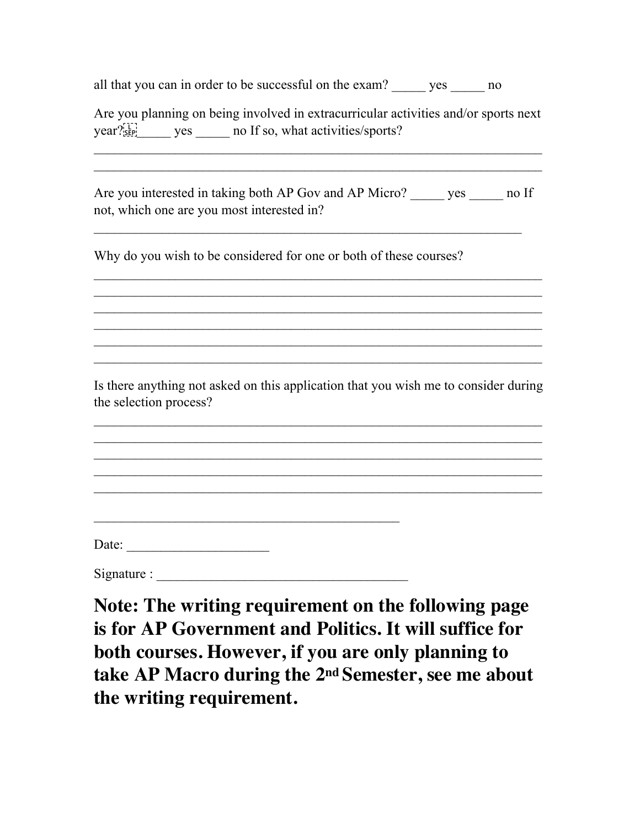all that you can in order to be successful on the exam? yes ho

Are you planning on being involved in extracurricular activities and/or sports next year?<sup>[1]</sup> yes no If so, what activities/sports?

 $\mathcal{L}_\text{max} = \mathcal{L}_\text{max} = \mathcal{L}_\text{max} = \mathcal{L}_\text{max} = \mathcal{L}_\text{max} = \mathcal{L}_\text{max} = \mathcal{L}_\text{max} = \mathcal{L}_\text{max} = \mathcal{L}_\text{max} = \mathcal{L}_\text{max} = \mathcal{L}_\text{max} = \mathcal{L}_\text{max} = \mathcal{L}_\text{max} = \mathcal{L}_\text{max} = \mathcal{L}_\text{max} = \mathcal{L}_\text{max} = \mathcal{L}_\text{max} = \mathcal{L}_\text{max} = \mathcal{$ 

Are you interested in taking both AP Gov and AP Micro? yes ho If not, which one are you most interested in?

 $\mathcal{L}_\text{max} = \mathcal{L}_\text{max} = \mathcal{L}_\text{max} = \mathcal{L}_\text{max} = \mathcal{L}_\text{max} = \mathcal{L}_\text{max} = \mathcal{L}_\text{max} = \mathcal{L}_\text{max} = \mathcal{L}_\text{max} = \mathcal{L}_\text{max} = \mathcal{L}_\text{max} = \mathcal{L}_\text{max} = \mathcal{L}_\text{max} = \mathcal{L}_\text{max} = \mathcal{L}_\text{max} = \mathcal{L}_\text{max} = \mathcal{L}_\text{max} = \mathcal{L}_\text{max} = \mathcal{$ 

 $\mathcal{L}_\text{max} = \mathcal{L}_\text{max} = \mathcal{L}_\text{max} = \mathcal{L}_\text{max} = \mathcal{L}_\text{max} = \mathcal{L}_\text{max} = \mathcal{L}_\text{max} = \mathcal{L}_\text{max} = \mathcal{L}_\text{max} = \mathcal{L}_\text{max} = \mathcal{L}_\text{max} = \mathcal{L}_\text{max} = \mathcal{L}_\text{max} = \mathcal{L}_\text{max} = \mathcal{L}_\text{max} = \mathcal{L}_\text{max} = \mathcal{L}_\text{max} = \mathcal{L}_\text{max} = \mathcal{$ 

Why do you wish to be considered for one or both of these courses?

Is there anything not asked on this application that you wish me to consider during the selection process?

 $\mathcal{L}_\text{max} = \mathcal{L}_\text{max} = \mathcal{L}_\text{max} = \mathcal{L}_\text{max} = \mathcal{L}_\text{max} = \mathcal{L}_\text{max} = \mathcal{L}_\text{max} = \mathcal{L}_\text{max} = \mathcal{L}_\text{max} = \mathcal{L}_\text{max} = \mathcal{L}_\text{max} = \mathcal{L}_\text{max} = \mathcal{L}_\text{max} = \mathcal{L}_\text{max} = \mathcal{L}_\text{max} = \mathcal{L}_\text{max} = \mathcal{L}_\text{max} = \mathcal{L}_\text{max} = \mathcal{$ 

 $\mathcal{L}_\text{max} = \mathcal{L}_\text{max} = \mathcal{L}_\text{max} = \mathcal{L}_\text{max} = \mathcal{L}_\text{max} = \mathcal{L}_\text{max} = \mathcal{L}_\text{max} = \mathcal{L}_\text{max} = \mathcal{L}_\text{max} = \mathcal{L}_\text{max} = \mathcal{L}_\text{max} = \mathcal{L}_\text{max} = \mathcal{L}_\text{max} = \mathcal{L}_\text{max} = \mathcal{L}_\text{max} = \mathcal{L}_\text{max} = \mathcal{L}_\text{max} = \mathcal{L}_\text{max} = \mathcal{$ 

| Date: |
|-------|
|       |
|       |
|       |

Signature :  $\frac{1}{\sqrt{1-\frac{1}{2}}}\left\{ \frac{1}{2}, \frac{1}{2}, \frac{1}{2}, \frac{1}{2}, \frac{1}{2}, \frac{1}{2}, \frac{1}{2}, \frac{1}{2}, \frac{1}{2}, \frac{1}{2}, \frac{1}{2}, \frac{1}{2}, \frac{1}{2}, \frac{1}{2}, \frac{1}{2}, \frac{1}{2}, \frac{1}{2}, \frac{1}{2}, \frac{1}{2}, \frac{1}{2}, \frac{1}{2}, \frac{1}{2}, \frac{1}{2}, \frac{1}{2}, \frac{1}{2}, \frac{1}{2}, \frac{1}{2$ 

**Note: The writing requirement on the following page is for AP Government and Politics. It will suffice for both courses. However, if you are only planning to take AP Macro during the 2nd Semester, see me about the writing requirement.**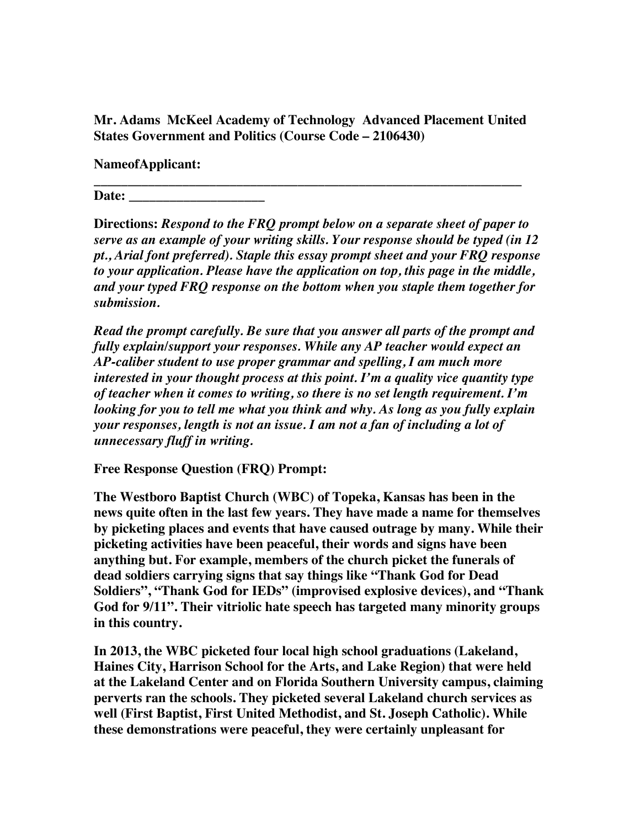**Mr. Adams McKeel Academy of Technology Advanced Placement United States Government and Politics (Course Code – 2106430)** 

**\_\_\_\_\_\_\_\_\_\_\_\_\_\_\_\_\_\_\_\_\_\_\_\_\_\_\_\_\_\_\_\_\_\_\_\_\_\_\_\_\_\_\_\_\_\_\_\_\_\_\_\_\_\_\_\_\_\_\_\_\_\_\_** 

**NameofApplicant:** 

**Date: \_\_\_\_\_\_\_\_\_\_\_\_\_\_\_\_\_\_\_\_** 

**Directions:** *Respond to the FRQ prompt below on a separate sheet of paper to serve as an example of your writing skills. Your response should be typed (in 12 pt., Arial font preferred). Staple this essay prompt sheet and your FRQ response to your application. Please have the application on top, this page in the middle, and your typed FRQ response on the bottom when you staple them together for submission.* 

*Read the prompt carefully. Be sure that you answer all parts of the prompt and fully explain/support your responses. While any AP teacher would expect an AP-caliber student to use proper grammar and spelling, I am much more interested in your thought process at this point. I'm a quality vice quantity type of teacher when it comes to writing, so there is no set length requirement. I'm looking for you to tell me what you think and why. As long as you fully explain your responses, length is not an issue. I am not a fan of including a lot of unnecessary fluff in writing.* 

**Free Response Question (FRQ) Prompt:** 

**The Westboro Baptist Church (WBC) of Topeka, Kansas has been in the news quite often in the last few years. They have made a name for themselves by picketing places and events that have caused outrage by many. While their picketing activities have been peaceful, their words and signs have been anything but. For example, members of the church picket the funerals of dead soldiers carrying signs that say things like "Thank God for Dead Soldiers", "Thank God for IEDs" (improvised explosive devices), and "Thank God for 9/11". Their vitriolic hate speech has targeted many minority groups in this country.** 

**In 2013, the WBC picketed four local high school graduations (Lakeland, Haines City, Harrison School for the Arts, and Lake Region) that were held at the Lakeland Center and on Florida Southern University campus, claiming perverts ran the schools. They picketed several Lakeland church services as well (First Baptist, First United Methodist, and St. Joseph Catholic). While these demonstrations were peaceful, they were certainly unpleasant for**